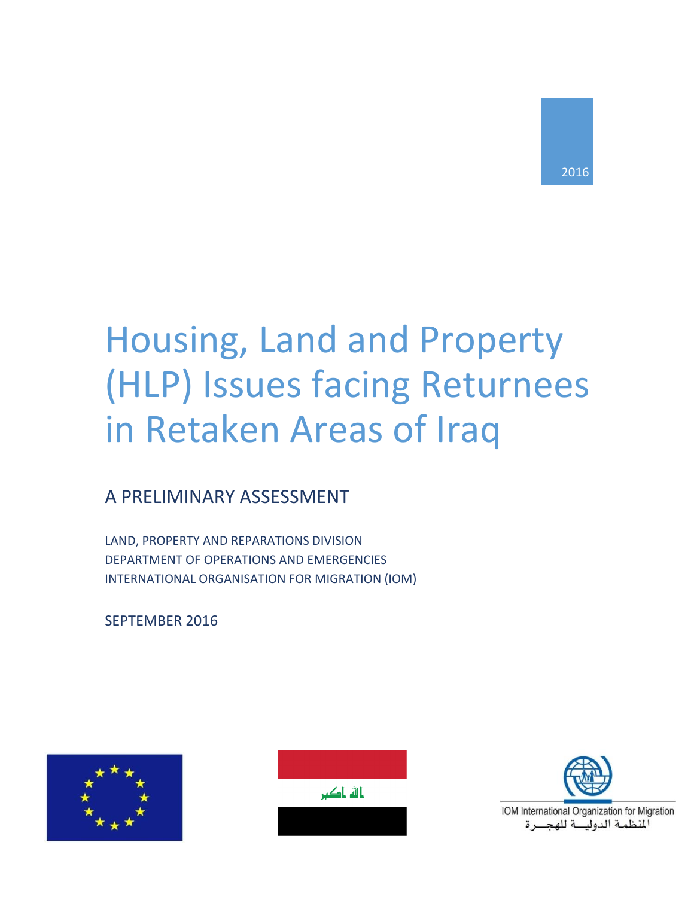# Housing, Land and Property (HLP) Issues facing Returnees in Retaken Areas of Iraq

# A PRELIMINARY ASSESSMENT

LAND, PROPERTY AND REPARATIONS DIVISION DEPARTMENT OF OPERATIONS AND EMERGENCIES INTERNATIONAL ORGANISATION FOR MIGRATION (IOM)

SEPTEMBER 2016







IOM International Organization for Migration المنظمة الدوليسة للهجسرة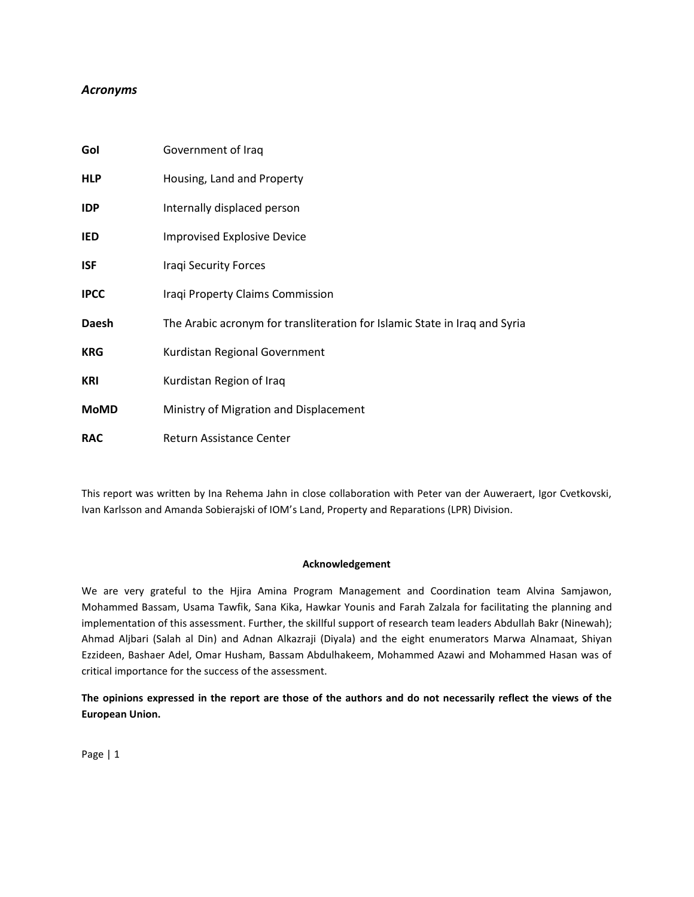# *Acronyms*

| Gol          | Government of Iraq                                                         |
|--------------|----------------------------------------------------------------------------|
| <b>HLP</b>   | Housing, Land and Property                                                 |
| <b>IDP</b>   | Internally displaced person                                                |
| IED          | <b>Improvised Explosive Device</b>                                         |
| <b>ISF</b>   | <b>Iraqi Security Forces</b>                                               |
| <b>IPCC</b>  | Iraqi Property Claims Commission                                           |
| <b>Daesh</b> | The Arabic acronym for transliteration for Islamic State in Iraq and Syria |
| <b>KRG</b>   | Kurdistan Regional Government                                              |
| <b>KRI</b>   | Kurdistan Region of Iraq                                                   |
| <b>MoMD</b>  | Ministry of Migration and Displacement                                     |
| <b>RAC</b>   | Return Assistance Center                                                   |

This report was written by Ina Rehema Jahn in close collaboration with Peter van der Auweraert, Igor Cvetkovski, Ivan Karlsson and Amanda Sobierajski of IOM's Land, Property and Reparations (LPR) Division.

# **Acknowledgement**

We are very grateful to the Hjira Amina Program Management and Coordination team Alvina Samjawon, Mohammed Bassam, Usama Tawfik, Sana Kika, Hawkar Younis and Farah Zalzala for facilitating the planning and implementation of this assessment. Further, the skillful support of research team leaders Abdullah Bakr (Ninewah); Ahmad Aljbari (Salah al Din) and Adnan Alkazraji (Diyala) and the eight enumerators Marwa Alnamaat, Shiyan Ezzideen, Bashaer Adel, Omar Husham, Bassam Abdulhakeem, Mohammed Azawi and Mohammed Hasan was of critical importance for the success of the assessment.

**The opinions expressed in the report are those of the authors and do not necessarily reflect the views of the European Union.**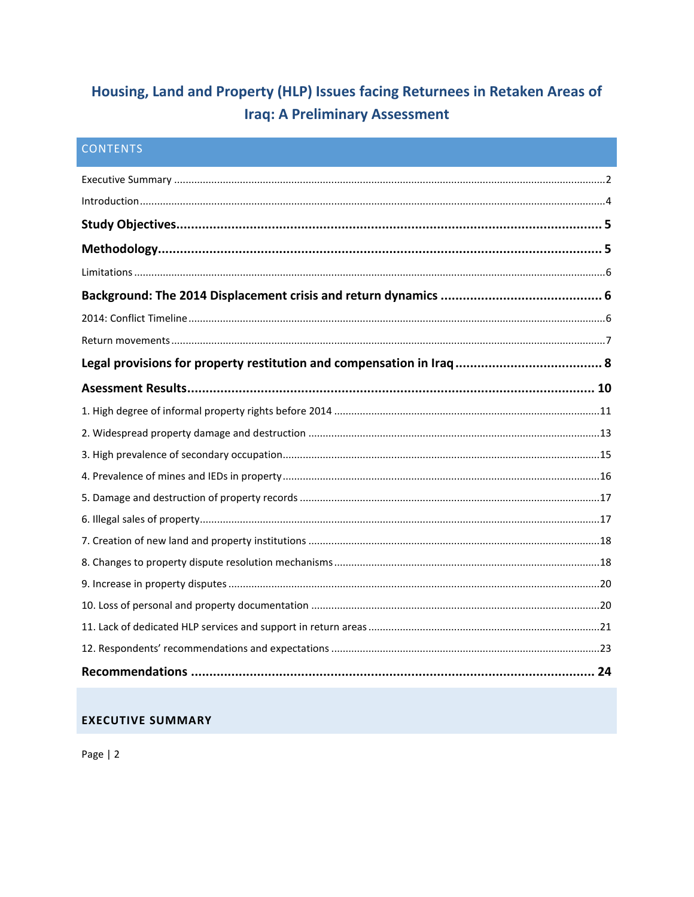# Housing, Land and Property (HLP) Issues facing Returnees in Retaken Areas of **Iraq: A Preliminary Assessment**

| <b>CONTENTS</b> |  |
|-----------------|--|
|                 |  |
|                 |  |
|                 |  |
|                 |  |
|                 |  |
|                 |  |
|                 |  |
|                 |  |
|                 |  |
|                 |  |
|                 |  |
|                 |  |
|                 |  |
|                 |  |
|                 |  |
|                 |  |
|                 |  |
|                 |  |
|                 |  |
|                 |  |
|                 |  |
|                 |  |
|                 |  |

# <span id="page-2-0"></span>**EXECUTIVE SUMMARY**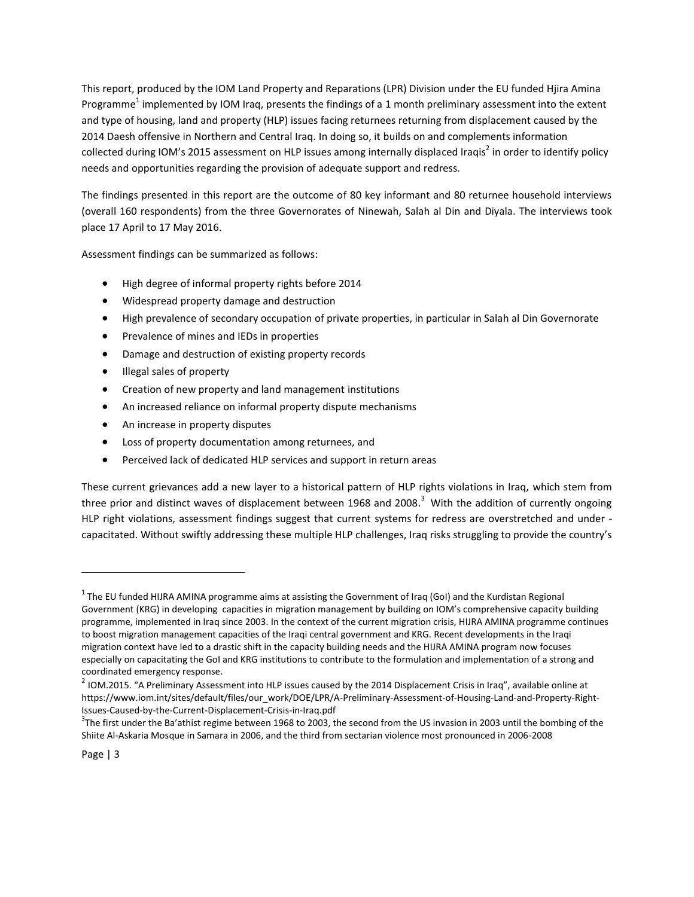This report, produced by the IOM Land Property and Reparations (LPR) Division under the EU funded Hjira Amina Programme<sup>1</sup> implemented by IOM Iraq, presents the findings of a 1 month preliminary assessment into the extent and type of housing, land and property (HLP) issues facing returnees returning from displacement caused by the 2014 Daesh offensive in Northern and Central Iraq. In doing so, it builds on and complements information collected during IOM's 2015 assessment on HLP issues among internally displaced Iraqis<sup>2</sup> in order to identify policy needs and opportunities regarding the provision of adequate support and redress.

The findings presented in this report are the outcome of 80 key informant and 80 returnee household interviews (overall 160 respondents) from the three Governorates of Ninewah, Salah al Din and Diyala. The interviews took place 17 April to 17 May 2016.

Assessment findings can be summarized as follows:

- High degree of informal property rights before 2014
- Widespread property damage and destruction
- High prevalence of secondary occupation of private properties, in particular in Salah al Din Governorate
- **•** Prevalence of mines and IEDs in properties
- Damage and destruction of existing property records
- Illegal sales of property
- Creation of new property and land management institutions
- An increased reliance on informal property dispute mechanisms
- An increase in property disputes
- Loss of property documentation among returnees, and
- Perceived lack of dedicated HLP services and support in return areas

These current grievances add a new layer to a historical pattern of HLP rights violations in Iraq, which stem from three prior and distinct waves of displacement between 1968 and 2008.<sup>3</sup> With the addition of currently ongoing HLP right violations, assessment findings suggest that current systems for redress are overstretched and under capacitated. Without swiftly addressing these multiple HLP challenges, Iraq risks struggling to provide the country's

 $^1$  The EU funded HIJRA AMINA programme aims at assisting the Government of Iraq (GoI) and the Kurdistan Regional Government (KRG) in developing capacities in migration management by building on IOM's comprehensive capacity building programme, implemented in Iraq since 2003. In the context of the current migration crisis, HIJRA AMINA programme continues to boost migration management capacities of the Iraqi central government and KRG. Recent developments in the Iraqi migration context have led to a drastic shift in the capacity building needs and the HIJRA AMINA program now focuses especially on capacitating the GoI and KRG institutions to contribute to the formulation and implementation of a strong and coordinated emergency response.

 $^2$  IOM.2015. "A Preliminary Assessment into HLP issues caused by the 2014 Displacement Crisis in Iraq", available online at https://www.iom.int/sites/default/files/our\_work/DOE/LPR/A-Preliminary-Assessment-of-Housing-Land-and-Property-Right-Issues-Caused-by-the-Current-Displacement-Crisis-in-Iraq.pdf

 $3$ The first under the Ba'athist regime between 1968 to 2003, the second from the US invasion in 2003 until the bombing of the Shiite Al-Askaria Mosque in Samara in 2006, and the third from sectarian violence most pronounced in 2006-2008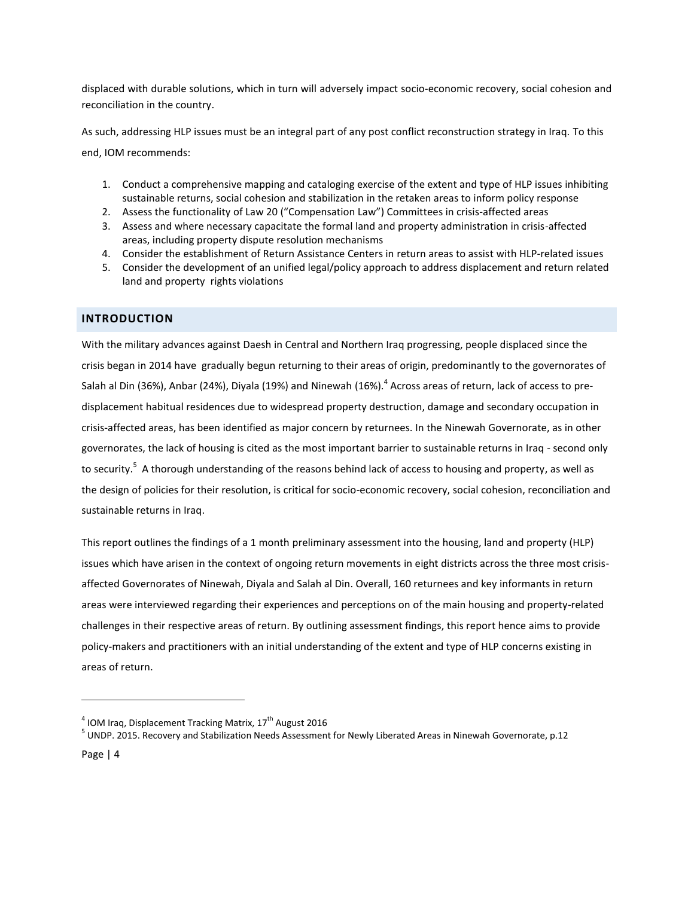displaced with durable solutions, which in turn will adversely impact socio-economic recovery, social cohesion and reconciliation in the country.

As such, addressing HLP issues must be an integral part of any post conflict reconstruction strategy in Iraq. To this end, IOM recommends:

- 1. Conduct a comprehensive mapping and cataloging exercise of the extent and type of HLP issues inhibiting sustainable returns, social cohesion and stabilization in the retaken areas to inform policy response
- 2. Assess the functionality of Law 20 ("Compensation Law") Committees in crisis-affected areas
- 3. Assess and where necessary capacitate the formal land and property administration in crisis-affected areas, including property dispute resolution mechanisms
- 4. Consider the establishment of Return Assistance Centers in return areas to assist with HLP-related issues
- 5. Consider the development of an unified legal/policy approach to address displacement and return related land and property rights violations

# <span id="page-4-0"></span>**INTRODUCTION**

With the military advances against Daesh in Central and Northern Iraq progressing, people displaced since the crisis began in 2014 have gradually begun returning to their areas of origin, predominantly to the governorates of Salah al Din (36%), Anbar (24%), Diyala (19%) and Ninewah (16%). $^4$  Across areas of return, lack of access to predisplacement habitual residences due to widespread property destruction, damage and secondary occupation in crisis-affected areas, has been identified as major concern by returnees. In the Ninewah Governorate, as in other governorates, the lack of housing is cited as the most important barrier to sustainable returns in Iraq - second only to security.<sup>5</sup> A thorough understanding of the reasons behind lack of access to housing and property, as well as the design of policies for their resolution, is critical for socio-economic recovery, social cohesion, reconciliation and sustainable returns in Iraq.

This report outlines the findings of a 1 month preliminary assessment into the housing, land and property (HLP) issues which have arisen in the context of ongoing return movements in eight districts across the three most crisisaffected Governorates of Ninewah, Diyala and Salah al Din. Overall, 160 returnees and key informants in return areas were interviewed regarding their experiences and perceptions on of the main housing and property-related challenges in their respective areas of return. By outlining assessment findings, this report hence aims to provide policy-makers and practitioners with an initial understanding of the extent and type of HLP concerns existing in areas of return.

<sup>&</sup>lt;sup>4</sup> IOM Iraq, Displacement Tracking Matrix, 17<sup>th</sup> August 2016

<sup>&</sup>lt;sup>5</sup> UNDP. 2015. Recovery and Stabilization Needs Assessment for Newly Liberated Areas in Ninewah Governorate, p.12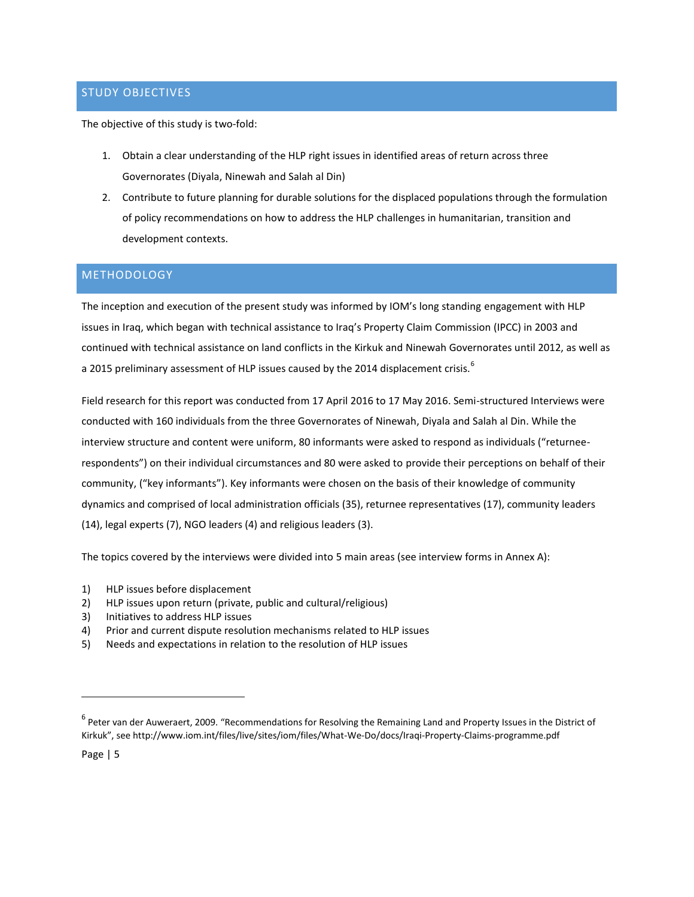# <span id="page-5-0"></span>STUDY OBJECTIVES

The objective of this study is two-fold:

- 1. Obtain a clear understanding of the HLP right issues in identified areas of return across three Governorates (Diyala, Ninewah and Salah al Din)
- 2. Contribute to future planning for durable solutions for the displaced populations through the formulation of policy recommendations on how to address the HLP challenges in humanitarian, transition and development contexts.

# <span id="page-5-1"></span>**METHODOLOGY**

The inception and execution of the present study was informed by IOM's long standing engagement with HLP issues in Iraq, which began with technical assistance to Iraq's Property Claim Commission (IPCC) in 2003 and continued with technical assistance on land conflicts in the Kirkuk and Ninewah Governorates until 2012, as well as a 2015 preliminary assessment of HLP issues caused by the 2014 displacement crisis.<sup>6</sup>

Field research for this report was conducted from 17 April 2016 to 17 May 2016. Semi-structured Interviews were conducted with 160 individuals from the three Governorates of Ninewah, Diyala and Salah al Din. While the interview structure and content were uniform, 80 informants were asked to respond as individuals ("returneerespondents") on their individual circumstances and 80 were asked to provide their perceptions on behalf of their community, ("key informants"). Key informants were chosen on the basis of their knowledge of community dynamics and comprised of local administration officials (35), returnee representatives (17), community leaders (14), legal experts (7), NGO leaders (4) and religious leaders (3).

The topics covered by the interviews were divided into 5 main areas (see interview forms in Annex A):

- 1) HLP issues before displacement
- 2) HLP issues upon return (private, public and cultural/religious)
- 3) Initiatives to address HLP issues
- 4) Prior and current dispute resolution mechanisms related to HLP issues
- 5) Needs and expectations in relation to the resolution of HLP issues

Page | 5

<sup>&</sup>lt;sup>6</sup> Peter van der Auweraert, 2009. "Recommendations for Resolving the Remaining Land and Property Issues in the District of Kirkuk", see http://www.iom.int/files/live/sites/iom/files/What-We-Do/docs/Iraqi-Property-Claims-programme.pdf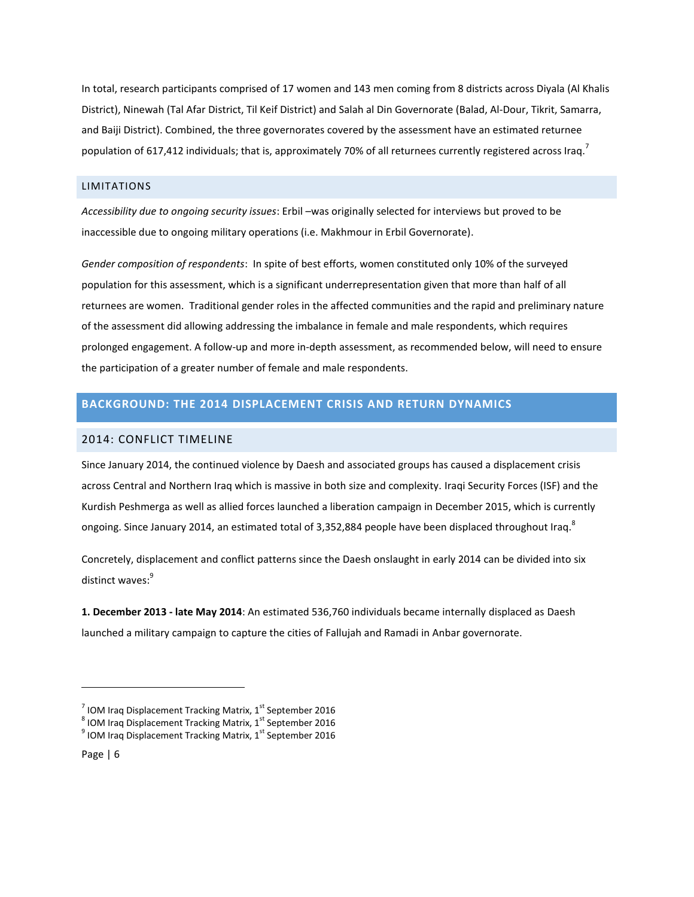In total, research participants comprised of 17 women and 143 men coming from 8 districts across Diyala (Al Khalis District), Ninewah (Tal Afar District, Til Keif District) and Salah al Din Governorate (Balad, Al-Dour, Tikrit, Samarra, and Baiji District). Combined, the three governorates covered by the assessment have an estimated returnee population of 617,412 individuals; that is, approximately 70% of all returnees currently registered across Iraq.<sup>7</sup>

# <span id="page-6-0"></span>LIMITATIONS

*Accessibility due to ongoing security issues*: Erbil –was originally selected for interviews but proved to be inaccessible due to ongoing military operations (i.e. Makhmour in Erbil Governorate).

*Gender composition of respondents*: In spite of best efforts, women constituted only 10% of the surveyed population for this assessment, which is a significant underrepresentation given that more than half of all returnees are women. Traditional gender roles in the affected communities and the rapid and preliminary nature of the assessment did allowing addressing the imbalance in female and male respondents, which requires prolonged engagement. A follow-up and more in-depth assessment, as recommended below, will need to ensure the participation of a greater number of female and male respondents.

# <span id="page-6-1"></span>**BACKGROUND: THE 2014 DISPLACEMENT CRISIS AND RETURN DYNAMICS**

#### <span id="page-6-2"></span>2014: CONFLICT TIMELINE

Since January 2014, the continued violence by Daesh and associated groups has caused a displacement crisis across Central and Northern Iraq which is massive in both size and complexity. Iraqi Security Forces (ISF) and the Kurdish Peshmerga as well as allied forces launched a liberation campaign in December 2015, which is currently ongoing. Since January 2014, an estimated total of 3,352,884 people have been displaced throughout Iraq.<sup>8</sup>

Concretely, displacement and conflict patterns since the Daesh onslaught in early 2014 can be divided into six distinct waves:<sup>9</sup>

**1. December 2013 - late May 2014**: An estimated 536,760 individuals became internally displaced as Daesh launched a military campaign to capture the cities of Fallujah and Ramadi in Anbar governorate.

<sup>&</sup>lt;sup>7</sup> IOM Iraq Displacement Tracking Matrix, 1<sup>st</sup> September 2016

 $^8$  IOM Iraq Displacement Tracking Matrix, 1<sup>st</sup> September 2016

 $^9$  IOM Iraq Displacement Tracking Matrix, 1<sup>st</sup> September 2016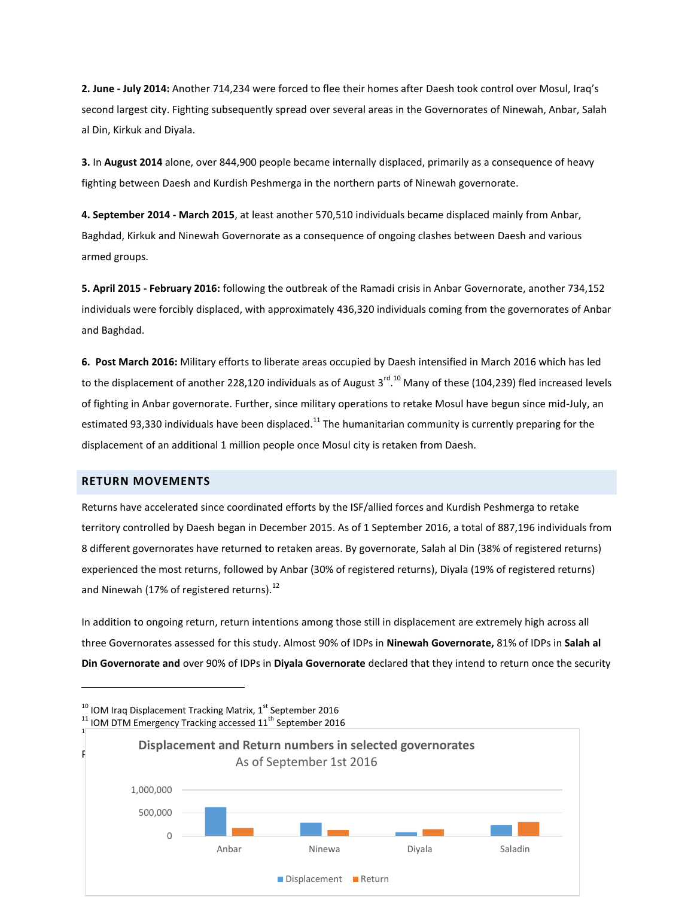**2. June - July 2014:** Another 714,234 were forced to flee their homes after Daesh took control over Mosul, Iraq's second largest city. Fighting subsequently spread over several areas in the Governorates of Ninewah, Anbar, Salah al Din, Kirkuk and Diyala.

**3.** In **August 2014** alone, over 844,900 people became internally displaced, primarily as a consequence of heavy fighting between Daesh and Kurdish Peshmerga in the northern parts of Ninewah governorate.

**4. September 2014 - March 2015**, at least another 570,510 individuals became displaced mainly from Anbar, Baghdad, Kirkuk and Ninewah Governorate as a consequence of ongoing clashes between Daesh and various armed groups.

**5. April 2015 - February 2016:** following the outbreak of the Ramadi crisis in Anbar Governorate, another 734,152 individuals were forcibly displaced, with approximately 436,320 individuals coming from the governorates of Anbar and Baghdad.

**6. Post March 2016:** Military efforts to liberate areas occupied by Daesh intensified in March 2016 which has led to the displacement of another 228,120 individuals as of August 3<sup>rd 10</sup> Many of these (104,239) fled increased levels of fighting in Anbar governorate. Further, since military operations to retake Mosul have begun since mid-July, an estimated 93,330 individuals have been displaced.<sup>11</sup> The humanitarian community is currently preparing for the displacement of an additional 1 million people once Mosul city is retaken from Daesh.

## <span id="page-7-0"></span>**RETURN MOVEMENTS**

 $\overline{a}$ 

Returns have accelerated since coordinated efforts by the ISF/allied forces and Kurdish Peshmerga to retake territory controlled by Daesh began in December 2015. As of 1 September 2016, a total of 887,196 individuals from 8 different governorates have returned to retaken areas. By governorate, Salah al Din (38% of registered returns) experienced the most returns, followed by Anbar (30% of registered returns), Diyala (19% of registered returns) and Ninewah (17% of registered returns).<sup>12</sup>

In addition to ongoing return, return intentions among those still in displacement are extremely high across all three Governorates assessed for this study. Almost 90% of IDPs in **Ninewah Governorate,** 81% of IDPs in **Salah al Din Governorate and** over 90% of IDPs in **Diyala Governorate** declared that they intend to return once the security

Page | 7  $^{10}$  IOM Iraq Displacement Tracking Matrix, 1st September 2016  $11$  IOM DTM Emergency Tracking accessed  $11<sup>th</sup>$  September 2016  $1$  $\overline{\phantom{a}}$ 0 500,000 1,000,000 Anbar Ninewa Diyala Saladin **Displacement and Return numbers in selected governorates** As of September 1st 2016 Displacement **Return**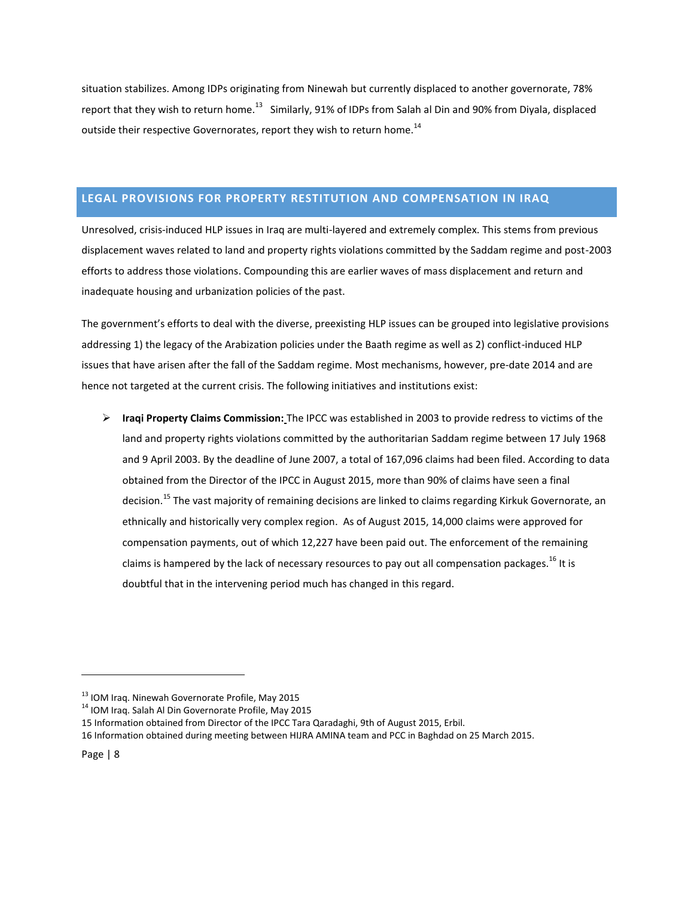situation stabilizes. Among IDPs originating from Ninewah but currently displaced to another governorate, 78% report that they wish to return home.<sup>13</sup> Similarly, 91% of IDPs from Salah al Din and 90% from Diyala, displaced outside their respective Governorates, report they wish to return home. $^{14}$ 

# <span id="page-8-0"></span>**LEGAL PROVISIONS FOR PROPERTY RESTITUTION AND COMPENSATION IN IRAQ**

Unresolved, crisis-induced HLP issues in Iraq are multi-layered and extremely complex. This stems from previous displacement waves related to land and property rights violations committed by the Saddam regime and post-2003 efforts to address those violations. Compounding this are earlier waves of mass displacement and return and inadequate housing and urbanization policies of the past.

The government's efforts to deal with the diverse, preexisting HLP issues can be grouped into legislative provisions addressing 1) the legacy of the Arabization policies under the Baath regime as well as 2) conflict-induced HLP issues that have arisen after the fall of the Saddam regime. Most mechanisms, however, pre-date 2014 and are hence not targeted at the current crisis. The following initiatives and institutions exist:

 **Iraqi Property Claims Commission:** The IPCC was established in 2003 to provide redress to victims of the land and property rights violations committed by the authoritarian Saddam regime between 17 July 1968 and 9 April 2003. By the deadline of June 2007, a total of 167,096 claims had been filed. According to data obtained from the Director of the IPCC in August 2015, more than 90% of claims have seen a final decision.<sup>15</sup> The vast majority of remaining decisions are linked to claims regarding Kirkuk Governorate, an ethnically and historically very complex region. As of August 2015, 14,000 claims were approved for compensation payments, out of which 12,227 have been paid out. The enforcement of the remaining claims is hampered by the lack of necessary resources to pay out all compensation packages.<sup>16</sup> It is doubtful that in the intervening period much has changed in this regard.

<sup>&</sup>lt;sup>13</sup> IOM Iraq. Ninewah Governorate Profile, May 2015

<sup>&</sup>lt;sup>14</sup> IOM Iraq. Salah Al Din Governorate Profile, May 2015

<sup>15</sup> Information obtained from Director of the IPCC Tara Qaradaghi, 9th of August 2015, Erbil.

<sup>16</sup> Information obtained during meeting between HIJRA AMINA team and PCC in Baghdad on 25 March 2015.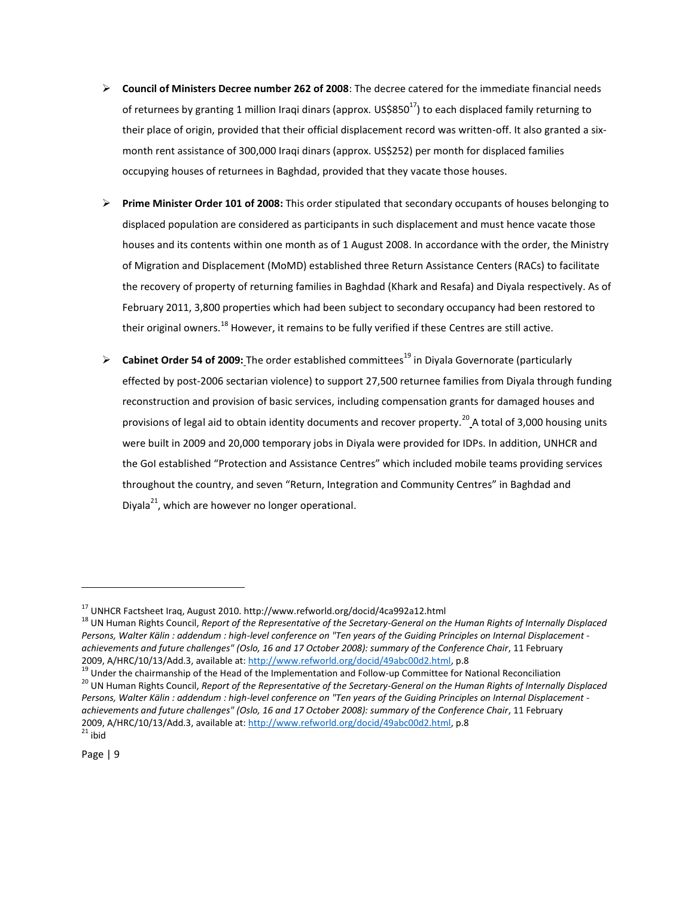- **Council of Ministers Decree number 262 of 2008**: The decree catered for the immediate financial needs of returnees by granting 1 million Iraqi dinars (approx. US\$850 $^{17}$ ) to each displaced family returning to their place of origin, provided that their official displacement record was written-off. It also granted a sixmonth rent assistance of 300,000 Iraqi dinars (approx. US\$252) per month for displaced families occupying houses of returnees in Baghdad, provided that they vacate those houses.
- **Prime Minister Order 101 of 2008:** This order stipulated that secondary occupants of houses belonging to displaced population are considered as participants in such displacement and must hence vacate those houses and its contents within one month as of 1 August 2008. In accordance with the order, the Ministry of Migration and Displacement (MoMD) established three Return Assistance Centers (RACs) to facilitate the recovery of property of returning families in Baghdad (Khark and Resafa) and Diyala respectively. As of February 2011, 3,800 properties which had been subject to secondary occupancy had been restored to their original owners.<sup>18</sup> However, it remains to be fully verified if these Centres are still active.
- **Cabinet Order 54 of 2009:** The order established committees <sup>19</sup> in Diyala Governorate (particularly effected by post-2006 sectarian violence) to support 27,500 returnee families from Diyala through funding reconstruction and provision of basic services, including compensation grants for damaged houses and provisions of legal aid to obtain identity documents and recover property.<sup>20</sup> A total of 3,000 housing units were built in 2009 and 20,000 temporary jobs in Diyala were provided for IDPs. In addition, UNHCR and the GoI established "Protection and Assistance Centres" which included mobile teams providing services throughout the country, and seven "Return, Integration and Community Centres" in Baghdad and Diyala<sup>21</sup>, which are however no longer operational.

<sup>17</sup> UNHCR Factsheet Iraq, August 2010. http://www.refworld.org/docid/4ca992a12.html

<sup>18</sup> UN Human Rights Council, *Report of the Representative of the Secretary-General on the Human Rights of Internally Displaced Persons, Walter Kälin : addendum : high-level conference on "Ten years of the Guiding Principles on Internal Displacement achievements and future challenges" (Oslo, 16 and 17 October 2008): summary of the Conference Chair*, 11 February 2009, A/HRC/10/13/Add.3, available at: [http://www.refworld.org/docid/49abc00d2.html,](http://www.refworld.org/docid/49abc00d2.html) p.8

<sup>&</sup>lt;sup>19</sup> Under the chairmanship of the Head of the Implementation and Follow-up Committee for National Reconciliation <sup>20</sup> UN Human Rights Council, *Report of the Representative of the Secretary-General on the Human Rights of Internally Displaced Persons, Walter Kälin : addendum : high-level conference on "Ten years of the Guiding Principles on Internal Displacement achievements and future challenges" (Oslo, 16 and 17 October 2008): summary of the Conference Chair*, 11 February 2009, A/HRC/10/13/Add.3, available at: [http://www.refworld.org/docid/49abc00d2.html,](http://www.refworld.org/docid/49abc00d2.html) p.8  $21$  ibid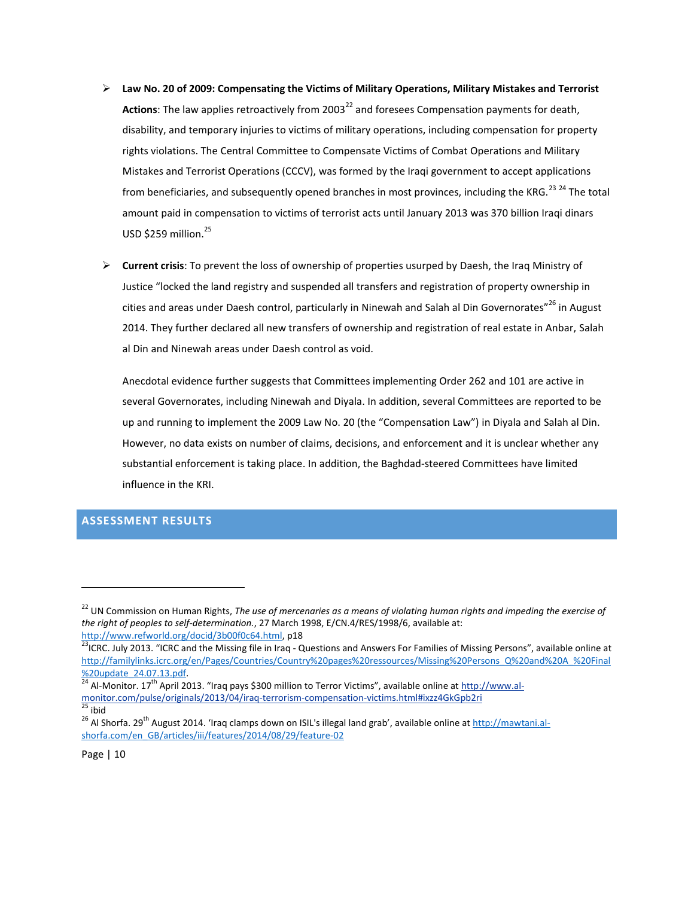- **Law No. 20 of 2009: Compensating the Victims of Military Operations, Military Mistakes and Terrorist**  Actions: The law applies retroactively from 2003<sup>22</sup> and foresees Compensation payments for death, disability, and temporary injuries to victims of military operations, including compensation for property rights violations. The Central Committee to Compensate Victims of Combat Operations and Military Mistakes and Terrorist Operations (CCCV), was formed by the Iraqi government to accept applications from beneficiaries, and subsequently opened branches in most provinces, including the KRG.<sup>23 24</sup> The total amount paid in compensation to victims of terrorist acts until January 2013 was 370 billion Iraqi dinars USD \$259 million.<sup>25</sup>
- **Current crisis**: To prevent the loss of ownership of properties usurped by Daesh, the Iraq Ministry of Justice "locked the land registry and suspended all transfers and registration of property ownership in cities and areas under Daesh control, particularly in Ninewah and Salah al Din Governorates"<sup>26</sup> in August 2014. They further declared all new transfers of ownership and registration of real estate in Anbar, Salah al Din and Ninewah areas under Daesh control as void.

Anecdotal evidence further suggests that Committees implementing Order 262 and 101 are active in several Governorates, including Ninewah and Diyala. In addition, several Committees are reported to be up and running to implement the 2009 Law No. 20 (the "Compensation Law") in Diyala and Salah al Din. However, no data exists on number of claims, decisions, and enforcement and it is unclear whether any substantial enforcement is taking place. In addition, the Baghdad-steered Committees have limited influence in the KRI.

# <span id="page-10-0"></span>**ASSESSMENT RESULTS**

<sup>&</sup>lt;sup>22</sup> UN Commission on Human Rights, *The use of mercenaries as a means of violating human rights and impeding the exercise of the right of peoples to self-determination.*, 27 March 1998, E/CN.4/RES/1998/6, available at: [http://www.refworld.org/docid/3b00f0c64.html,](http://www.refworld.org/docid/3b00f0c64.html) p18

<sup>&</sup>lt;sup>23</sup>ICRC. July 2013. "ICRC and the Missing file in Iraq - Questions and Answers For Families of Missing Persons", available online at [http://familylinks.icrc.org/en/Pages/Countries/Country%20pages%20ressources/Missing%20Persons\\_Q%20and%20A\\_%20Final](http://familylinks.icrc.org/en/Pages/Countries/Country%20pages%20ressources/Missing%20Persons_Q%20and%20A_%20Final%20update_24.07.13.pdf) [%20update\\_24.07.13.pdf.](http://familylinks.icrc.org/en/Pages/Countries/Country%20pages%20ressources/Missing%20Persons_Q%20and%20A_%20Final%20update_24.07.13.pdf)

 $\frac{1}{24}$  Al-Monitor. 17<sup>th</sup> April 2013. "Iraq pays \$300 million to Terror Victims", available online at [http://www.al](http://www.al-monitor.com/pulse/originals/2013/04/iraq-terrorism-compensation-victims.html#ixzz4GkGpb2ri)[monitor.com/pulse/originals/2013/04/iraq-terrorism-compensation-victims.html#ixzz4GkGpb2ri](http://www.al-monitor.com/pulse/originals/2013/04/iraq-terrorism-compensation-victims.html#ixzz4GkGpb2ri)  $25$  ibid

<sup>&</sup>lt;sup>26</sup> Al Shorfa. 29<sup>th</sup> August 2014. 'Iraq clamps down on ISIL's illegal land grab', available online a[t http://mawtani.al](http://mawtani.al-shorfa.com/en_GB/articles/iii/features/2014/08/29/feature-02)[shorfa.com/en\\_GB/articles/iii/features/2014/08/29/feature-02](http://mawtani.al-shorfa.com/en_GB/articles/iii/features/2014/08/29/feature-02)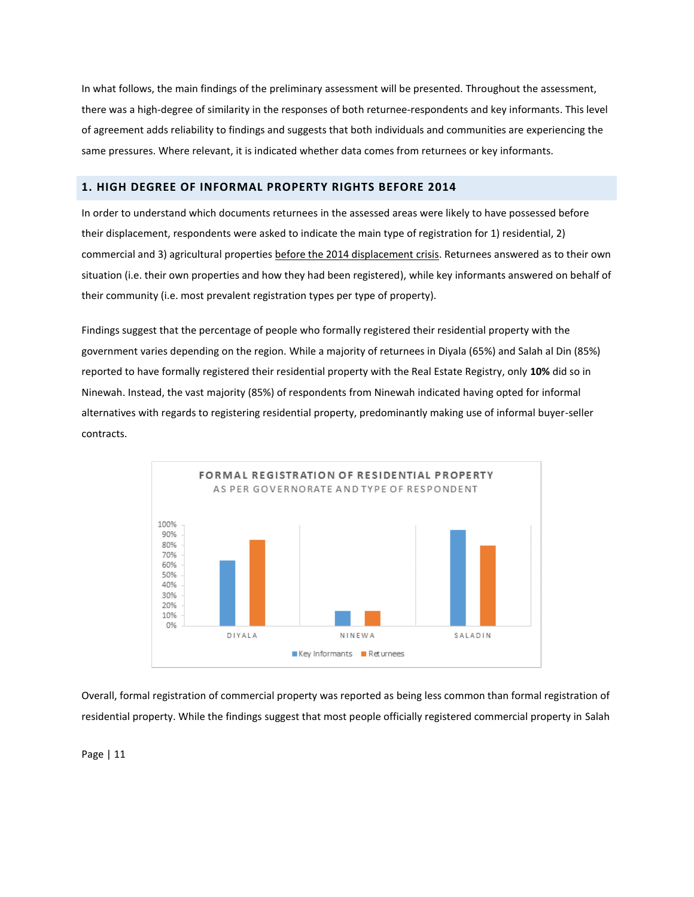In what follows, the main findings of the preliminary assessment will be presented. Throughout the assessment, there was a high-degree of similarity in the responses of both returnee-respondents and key informants. This level of agreement adds reliability to findings and suggests that both individuals and communities are experiencing the same pressures. Where relevant, it is indicated whether data comes from returnees or key informants.

# <span id="page-11-0"></span>**1. HIGH DEGREE OF INFORMAL PROPERTY RIGHTS BEFORE 2014**

In order to understand which documents returnees in the assessed areas were likely to have possessed before their displacement, respondents were asked to indicate the main type of registration for 1) residential, 2) commercial and 3) agricultural properties before the 2014 displacement crisis. Returnees answered as to their own situation (i.e. their own properties and how they had been registered), while key informants answered on behalf of their community (i.e. most prevalent registration types per type of property).

Findings suggest that the percentage of people who formally registered their residential property with the government varies depending on the region. While a majority of returnees in Diyala (65%) and Salah al Din (85%) reported to have formally registered their residential property with the Real Estate Registry, only **10%** did so in Ninewah. Instead, the vast majority (85%) of respondents from Ninewah indicated having opted for informal alternatives with regards to registering residential property, predominantly making use of informal buyer-seller contracts.



Overall, formal registration of commercial property was reported as being less common than formal registration of residential property. While the findings suggest that most people officially registered commercial property in Salah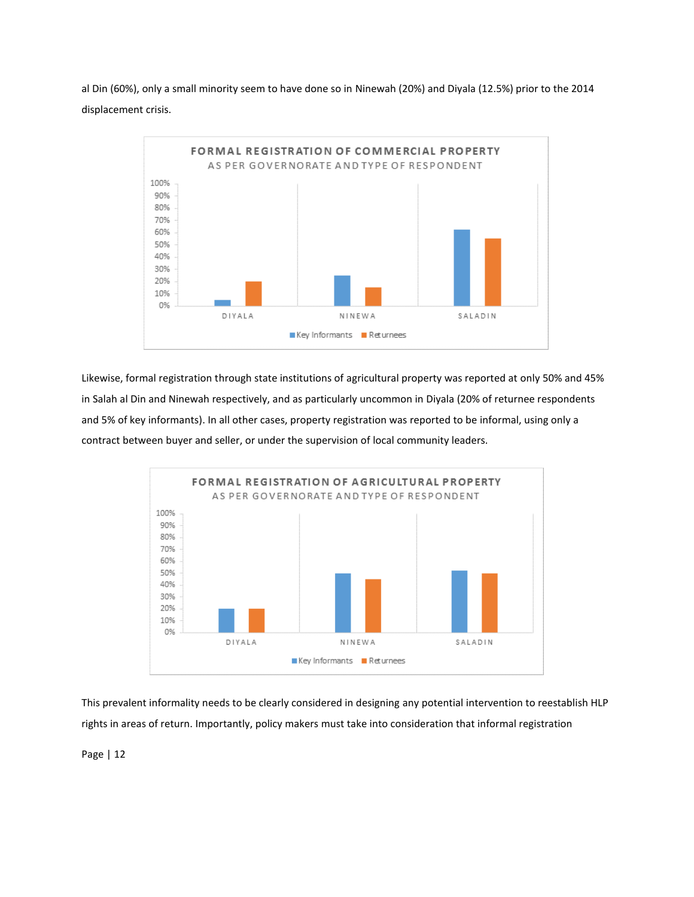al Din (60%), only a small minority seem to have done so in Ninewah (20%) and Diyala (12.5%) prior to the 2014 displacement crisis.



Likewise, formal registration through state institutions of agricultural property was reported at only 50% and 45% in Salah al Din and Ninewah respectively, and as particularly uncommon in Diyala (20% of returnee respondents and 5% of key informants). In all other cases, property registration was reported to be informal, using only a contract between buyer and seller, or under the supervision of local community leaders.



This prevalent informality needs to be clearly considered in designing any potential intervention to reestablish HLP rights in areas of return. Importantly, policy makers must take into consideration that informal registration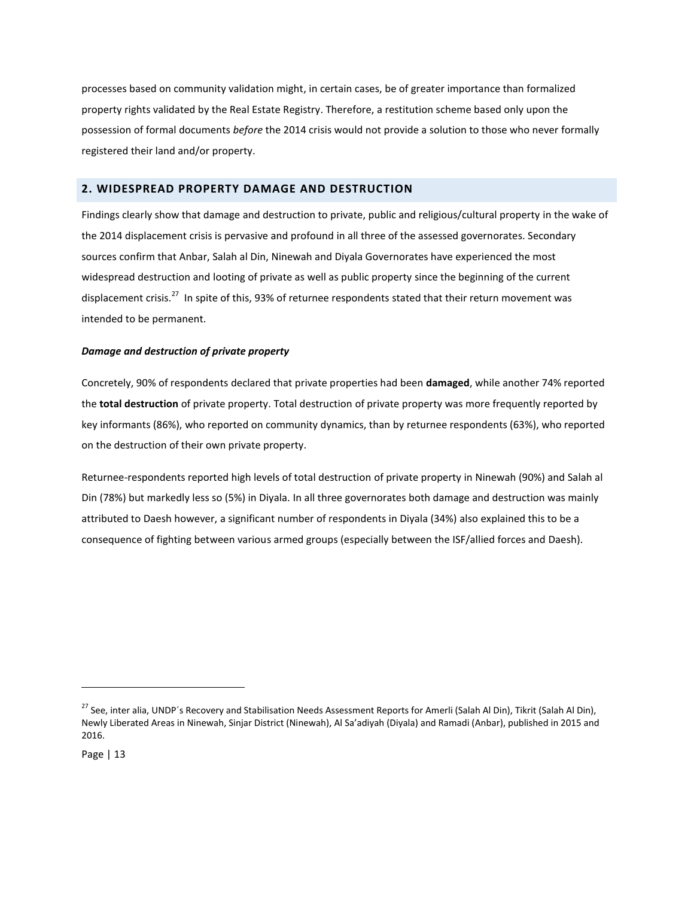processes based on community validation might, in certain cases, be of greater importance than formalized property rights validated by the Real Estate Registry. Therefore, a restitution scheme based only upon the possession of formal documents *before* the 2014 crisis would not provide a solution to those who never formally registered their land and/or property.

# <span id="page-13-0"></span>**2. WIDESPREAD PROPERTY DAMAGE AND DESTRUCTION**

Findings clearly show that damage and destruction to private, public and religious/cultural property in the wake of the 2014 displacement crisis is pervasive and profound in all three of the assessed governorates. Secondary sources confirm that Anbar, Salah al Din, Ninewah and Diyala Governorates have experienced the most widespread destruction and looting of private as well as public property since the beginning of the current displacement crisis.<sup>27</sup> In spite of this, 93% of returnee respondents stated that their return movement was intended to be permanent.

# *Damage and destruction of private property*

Concretely, 90% of respondents declared that private properties had been **damaged**, while another 74% reported the **total destruction** of private property. Total destruction of private property was more frequently reported by key informants (86%), who reported on community dynamics, than by returnee respondents (63%), who reported on the destruction of their own private property.

Returnee-respondents reported high levels of total destruction of private property in Ninewah (90%) and Salah al Din (78%) but markedly less so (5%) in Diyala. In all three governorates both damage and destruction was mainly attributed to Daesh however, a significant number of respondents in Diyala (34%) also explained this to be a consequence of fighting between various armed groups (especially between the ISF/allied forces and Daesh).

<sup>&</sup>lt;sup>27</sup> See, inter alia, UNDP's Recovery and Stabilisation Needs Assessment Reports for Amerli (Salah Al Din), Tikrit (Salah Al Din), Newly Liberated Areas in Ninewah, Sinjar District (Ninewah), Al Sa'adiyah (Diyala) and Ramadi (Anbar), published in 2015 and 2016.

Page | 13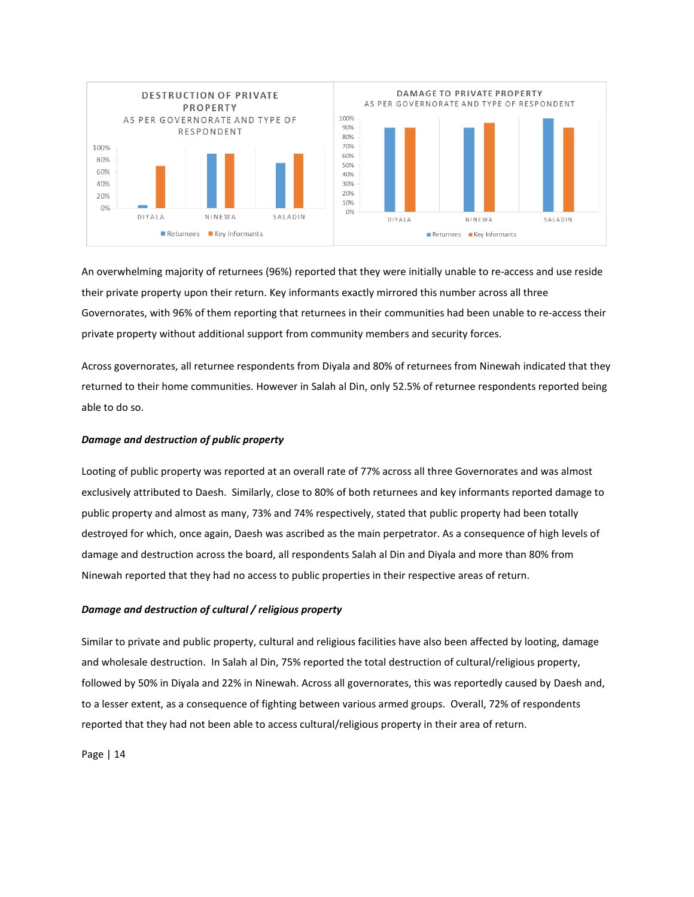

An overwhelming majority of returnees (96%) reported that they were initially unable to re-access and use reside their private property upon their return. Key informants exactly mirrored this number across all three Governorates, with 96% of them reporting that returnees in their communities had been unable to re-access their private property without additional support from community members and security forces.

Across governorates, all returnee respondents from Diyala and 80% of returnees from Ninewah indicated that they returned to their home communities. However in Salah al Din, only 52.5% of returnee respondents reported being able to do so.

#### *Damage and destruction of public property*

Looting of public property was reported at an overall rate of 77% across all three Governorates and was almost exclusively attributed to Daesh. Similarly, close to 80% of both returnees and key informants reported damage to public property and almost as many, 73% and 74% respectively, stated that public property had been totally destroyed for which, once again, Daesh was ascribed as the main perpetrator. As a consequence of high levels of damage and destruction across the board, all respondents Salah al Din and Diyala and more than 80% from Ninewah reported that they had no access to public properties in their respective areas of return.

#### *Damage and destruction of cultural / religious property*

Similar to private and public property, cultural and religious facilities have also been affected by looting, damage and wholesale destruction. In Salah al Din, 75% reported the total destruction of cultural/religious property, followed by 50% in Diyala and 22% in Ninewah. Across all governorates, this was reportedly caused by Daesh and, to a lesser extent, as a consequence of fighting between various armed groups. Overall, 72% of respondents reported that they had not been able to access cultural/religious property in their area of return.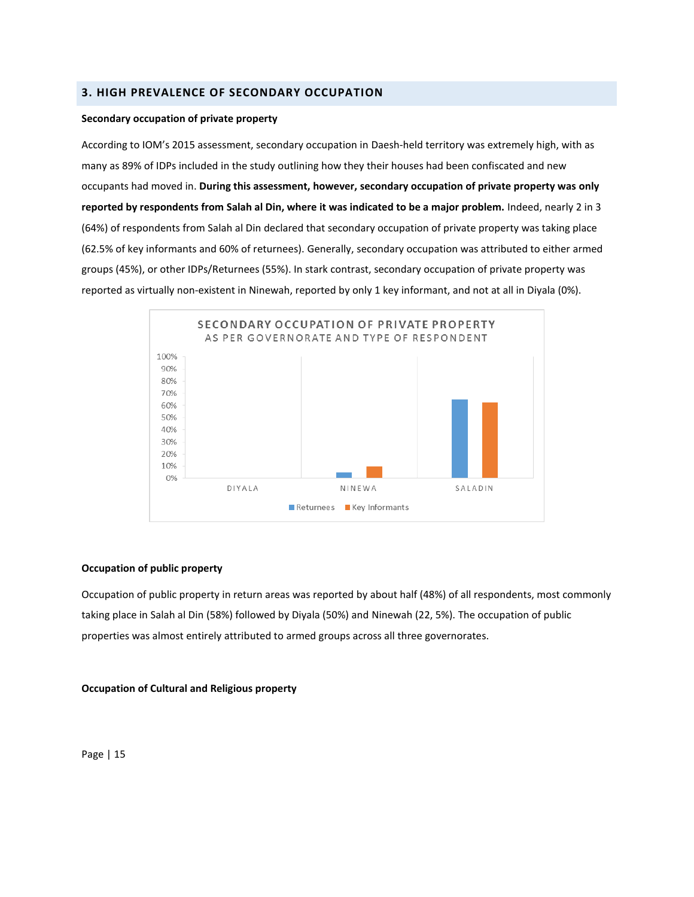# <span id="page-15-0"></span>**3. HIGH PREVALENCE OF SECONDARY OCCUPATION**

#### **Secondary occupation of private property**

According to IOM's 2015 assessment, secondary occupation in Daesh-held territory was extremely high, with as many as 89% of IDPs included in the study outlining how they their houses had been confiscated and new occupants had moved in. **During this assessment, however, secondary occupation of private property was only reported by respondents from Salah al Din, where it was indicated to be a major problem.** Indeed, nearly 2 in 3 (64%) of respondents from Salah al Din declared that secondary occupation of private property was taking place (62.5% of key informants and 60% of returnees). Generally, secondary occupation was attributed to either armed groups (45%), or other IDPs/Returnees (55%). In stark contrast, secondary occupation of private property was reported as virtually non-existent in Ninewah, reported by only 1 key informant, and not at all in Diyala (0%).



## **Occupation of public property**

Occupation of public property in return areas was reported by about half (48%) of all respondents, most commonly taking place in Salah al Din (58%) followed by Diyala (50%) and Ninewah (22, 5%). The occupation of public properties was almost entirely attributed to armed groups across all three governorates.

## **Occupation of Cultural and Religious property**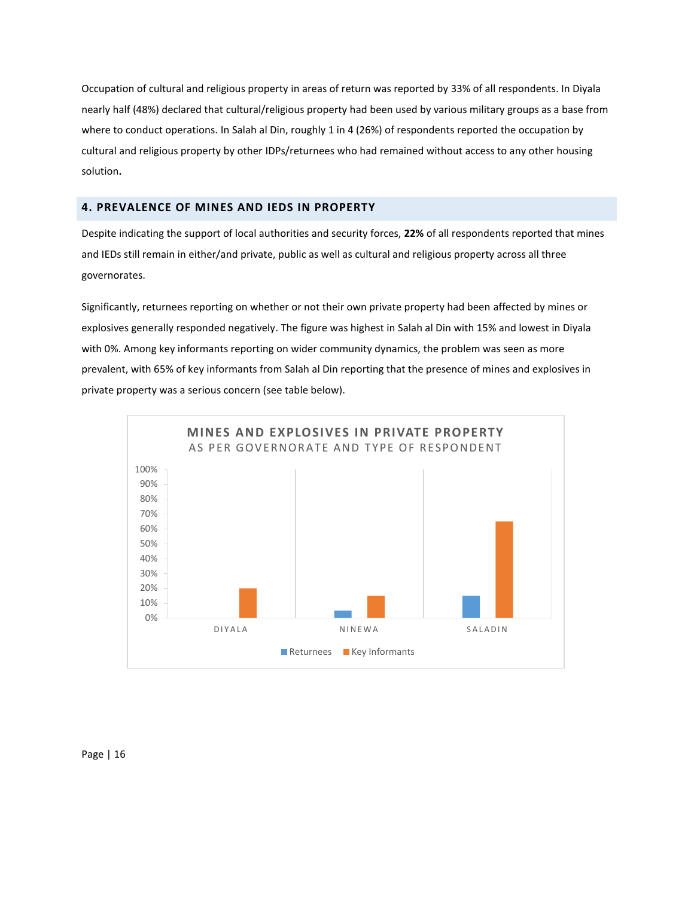Occupation of cultural and religious property in areas of return was reported by 33% of all respondents. In Diyala nearly half (48%) declared that cultural/religious property had been used by various military groups as a base from where to conduct operations. In Salah al Din, roughly 1 in 4 (26%) of respondents reported the occupation by cultural and religious property by other IDPs/returnees who had remained without access to any other housing solution**.**

# <span id="page-16-0"></span>**4. PREVALENCE OF MINES AND IEDS IN PROPERTY**

Despite indicating the support of local authorities and security forces, **22%** of all respondents reported that mines and IEDs still remain in either/and private, public as well as cultural and religious property across all three governorates.

Significantly, returnees reporting on whether or not their own private property had been affected by mines or explosives generally responded negatively. The figure was highest in Salah al Din with 15% and lowest in Diyala with 0%. Among key informants reporting on wider community dynamics, the problem was seen as more prevalent, with 65% of key informants from Salah al Din reporting that the presence of mines and explosives in private property was a serious concern (see table below).

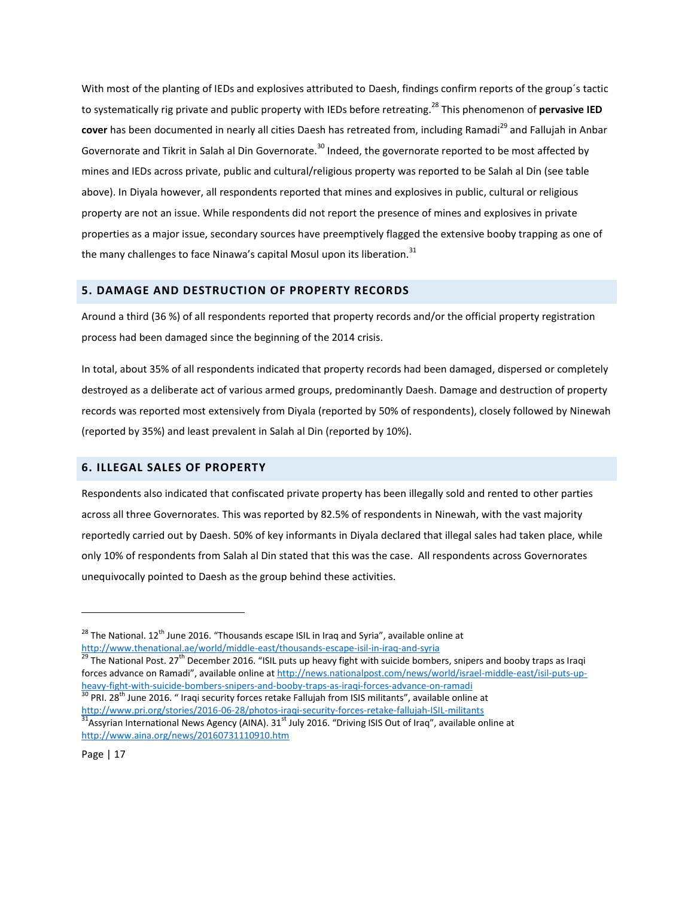With most of the planting of IEDs and explosives attributed to Daesh, findings confirm reports of the group´s tactic to systematically rig private and public property with IEDs before retreating. <sup>28</sup> This phenomenon of **pervasive IED cover** has been documented in nearly all cities Daesh has retreated from, including Ramadi<sup>29</sup> and Fallujah in Anbar Governorate and Tikrit in Salah al Din Governorate.<sup>30</sup> Indeed, the governorate reported to be most affected by mines and IEDs across private, public and cultural/religious property was reported to be Salah al Din (see table above). In Diyala however, all respondents reported that mines and explosives in public, cultural or religious property are not an issue. While respondents did not report the presence of mines and explosives in private properties as a major issue, secondary sources have preemptively flagged the extensive booby trapping as one of the many challenges to face Ninawa's capital Mosul upon its liberation.<sup>31</sup>

# <span id="page-17-0"></span>**5. DAMAGE AND DESTRUCTION OF PROPERTY RECORDS**

Around a third (36 %) of all respondents reported that property records and/or the official property registration process had been damaged since the beginning of the 2014 crisis.

In total, about 35% of all respondents indicated that property records had been damaged, dispersed or completely destroyed as a deliberate act of various armed groups, predominantly Daesh. Damage and destruction of property records was reported most extensively from Diyala (reported by 50% of respondents), closely followed by Ninewah (reported by 35%) and least prevalent in Salah al Din (reported by 10%).

# <span id="page-17-1"></span>**6. ILLEGAL SALES OF PROPERTY**

Respondents also indicated that confiscated private property has been illegally sold and rented to other parties across all three Governorates. This was reported by 82.5% of respondents in Ninewah, with the vast majority reportedly carried out by Daesh. 50% of key informants in Diyala declared that illegal sales had taken place, while only 10% of respondents from Salah al Din stated that this was the case. All respondents across Governorates unequivocally pointed to Daesh as the group behind these activities.

[http://www.pri.org/stories/2016-06-28/photos-iraqi-security-forces-retake-fallujah-ISIL-militants](http://www.pri.org/stories/2016-06-28/photos-iraqi-security-forces-retake-fallujah-isis-militants)  $31A$ ssyrian International News Agency (AINA).  $31<sup>st</sup>$  July 2016. "Driving ISIS Out of Iraq", available online at <http://www.aina.org/news/20160731110910.htm>

Page | 17

 $28$  The National. 12<sup>th</sup> June 2016. "Thousands escape ISIL in Iraq and Syria", available online at <http://www.thenational.ae/world/middle-east/thousands-escape-isil-in-iraq-and-syria>

<sup>&</sup>lt;sup>29</sup> The National Post. 27<sup>th</sup> December 2016. "ISIL puts up heavy fight with suicide bombers, snipers and booby traps as Iraqi forces advance on Ramadi", available online at [http://news.nationalpost.com/news/world/israel-middle-east/isil-puts-up](http://news.nationalpost.com/news/world/israel-middle-east/isil-puts-up-heavy-fight-with-suicide-bombers-snipers-and-booby-traps-as-iraqi-forces-advance-on-ramadi)[heavy-fight-with-suicide-bombers-snipers-and-booby-traps-as-iraqi-forces-advance-on-ramadi](http://news.nationalpost.com/news/world/israel-middle-east/isil-puts-up-heavy-fight-with-suicide-bombers-snipers-and-booby-traps-as-iraqi-forces-advance-on-ramadi) <sup>30</sup> PRI. 28<sup>th</sup> June 2016. " Iraqi security forces retake Fallujah from ISIS militants", available online at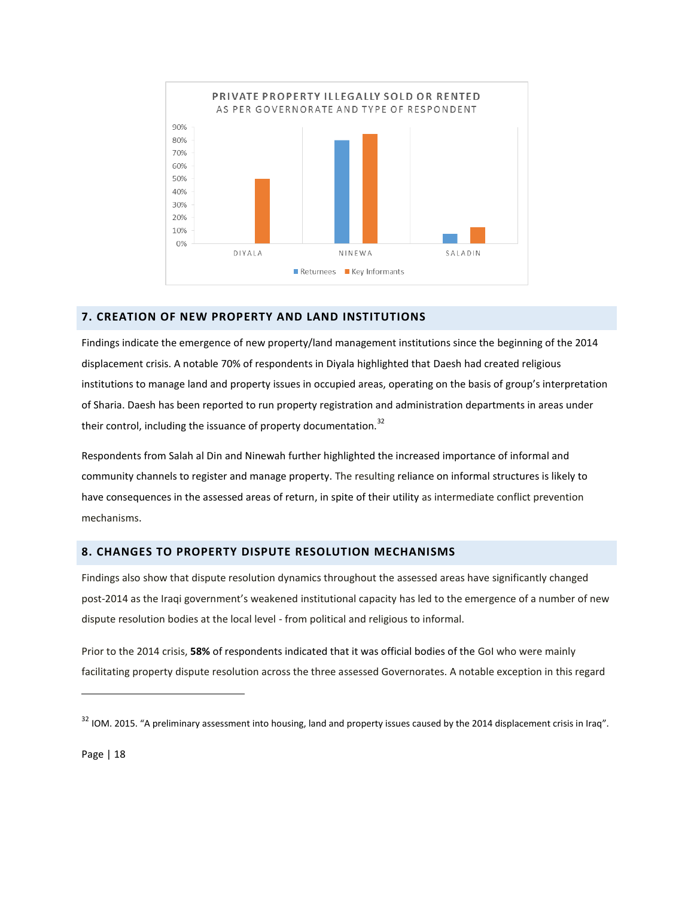

# <span id="page-18-0"></span>**7. CREATION OF NEW PROPERTY AND LAND INSTITUTIONS**

Findings indicate the emergence of new property/land management institutions since the beginning of the 2014 displacement crisis. A notable 70% of respondents in Diyala highlighted that Daesh had created religious institutions to manage land and property issues in occupied areas, operating on the basis of group's interpretation of Sharia. Daesh has been reported to run property registration and administration departments in areas under their control, including the issuance of property documentation.<sup>32</sup>

Respondents from Salah al Din and Ninewah further highlighted the increased importance of informal and community channels to register and manage property. The resulting reliance on informal structures is likely to have consequences in the assessed areas of return, in spite of their utility as intermediate conflict prevention mechanisms.

# <span id="page-18-1"></span>**8. CHANGES TO PROPERTY DISPUTE RESOLUTION MECHANISMS**

Findings also show that dispute resolution dynamics throughout the assessed areas have significantly changed post-2014 as the Iraqi government's weakened institutional capacity has led to the emergence of a number of new dispute resolution bodies at the local level - from political and religious to informal.

Prior to the 2014 crisis, **58%** of respondents indicated that it was official bodies of the GoI who were mainly facilitating property dispute resolution across the three assessed Governorates. A notable exception in this regard

Page | 18

<sup>&</sup>lt;sup>32</sup> IOM. 2015. "A preliminary assessment into housing, land and property issues caused by the 2014 displacement crisis in Iraq".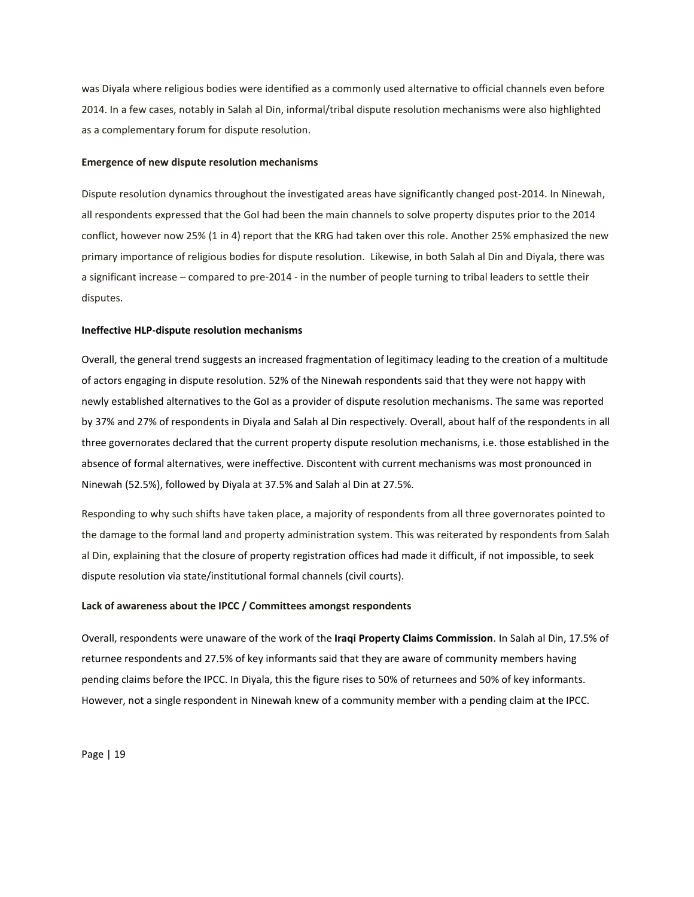was Diyala where religious bodies were identified as a commonly used alternative to official channels even before 2014. In a few cases, notably in Salah al Din, informal/tribal dispute resolution mechanisms were also highlighted as a complementary forum for dispute resolution.

#### **Emergence of new dispute resolution mechanisms**

Dispute resolution dynamics throughout the investigated areas have significantly changed post-2014. In Ninewah, all respondents expressed that the GoI had been the main channels to solve property disputes prior to the 2014 conflict, however now 25% (1 in 4) report that the KRG had taken over this role. Another 25% emphasized the new primary importance of religious bodies for dispute resolution. Likewise, in both Salah al Din and Diyala, there was a significant increase – compared to pre-2014 - in the number of people turning to tribal leaders to settle their disputes.

#### **Ineffective HLP-dispute resolution mechanisms**

Overall, the general trend suggests an increased fragmentation of legitimacy leading to the creation of a multitude of actors engaging in dispute resolution. 52% of the Ninewah respondents said that they were not happy with newly established alternatives to the GoI as a provider of dispute resolution mechanisms. The same was reported by 37% and 27% of respondents in Diyala and Salah al Din respectively. Overall, about half of the respondents in all three governorates declared that the current property dispute resolution mechanisms, i.e. those established in the absence of formal alternatives, were ineffective. Discontent with current mechanisms was most pronounced in Ninewah (52.5%), followed by Diyala at 37.5% and Salah al Din at 27.5%.

Responding to why such shifts have taken place, a majority of respondents from all three governorates pointed to the damage to the formal land and property administration system. This was reiterated by respondents from Salah al Din, explaining that the closure of property registration offices had made it difficult, if not impossible, to seek dispute resolution via state/institutional formal channels (civil courts).

#### **Lack of awareness about the IPCC / Committees amongst respondents**

Overall, respondents were unaware of the work of the **Iraqi Property Claims Commission**. In Salah al Din, 17.5% of returnee respondents and 27.5% of key informants said that they are aware of community members having pending claims before the IPCC. In Diyala, this the figure rises to 50% of returnees and 50% of key informants. However, not a single respondent in Ninewah knew of a community member with a pending claim at the IPCC.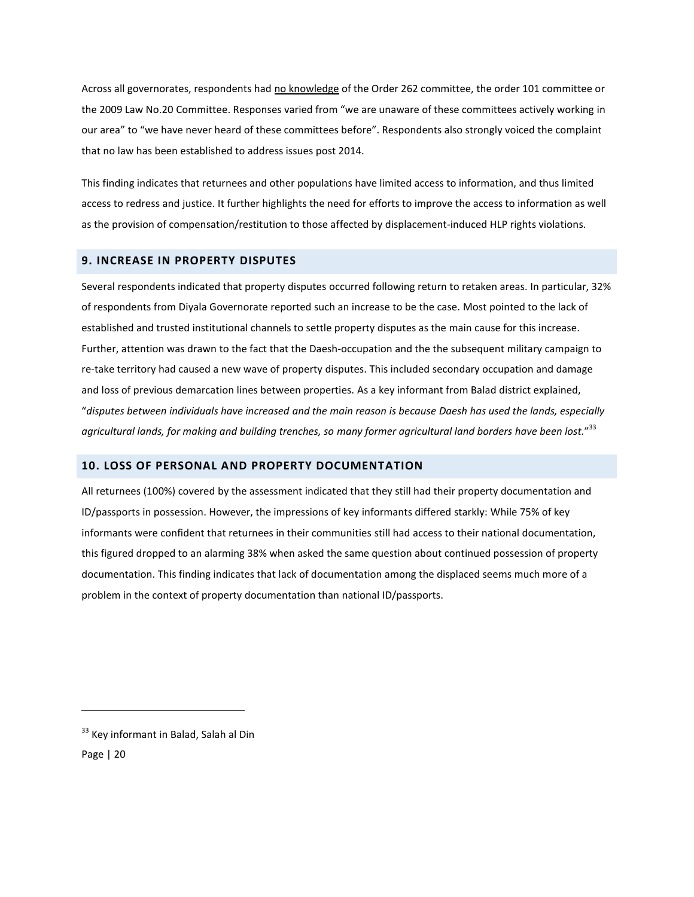Across all governorates, respondents had no knowledge of the Order 262 committee, the order 101 committee or the 2009 Law No.20 Committee. Responses varied from "we are unaware of these committees actively working in our area" to "we have never heard of these committees before". Respondents also strongly voiced the complaint that no law has been established to address issues post 2014.

This finding indicates that returnees and other populations have limited access to information, and thus limited access to redress and justice. It further highlights the need for efforts to improve the access to information as well as the provision of compensation/restitution to those affected by displacement-induced HLP rights violations.

# <span id="page-20-0"></span>**9. INCREASE IN PROPERTY DISPUTES**

Several respondents indicated that property disputes occurred following return to retaken areas. In particular, 32% of respondents from Diyala Governorate reported such an increase to be the case. Most pointed to the lack of established and trusted institutional channels to settle property disputes as the main cause for this increase. Further, attention was drawn to the fact that the Daesh-occupation and the the subsequent military campaign to re-take territory had caused a new wave of property disputes. This included secondary occupation and damage and loss of previous demarcation lines between properties. As a key informant from Balad district explained, "*disputes between individuals have increased and the main reason is because Daesh has used the lands, especially agricultural lands, for making and building trenches, so many former agricultural land borders have been lost.*" 33

# <span id="page-20-1"></span>**10. LOSS OF PERSONAL AND PROPERTY DOCUMENTATION**

All returnees (100%) covered by the assessment indicated that they still had their property documentation and ID/passports in possession. However, the impressions of key informants differed starkly: While 75% of key informants were confident that returnees in their communities still had access to their national documentation, this figured dropped to an alarming 38% when asked the same question about continued possession of property documentation. This finding indicates that lack of documentation among the displaced seems much more of a problem in the context of property documentation than national ID/passports.

Page | 20

<sup>&</sup>lt;sup>33</sup> Key informant in Balad, Salah al Din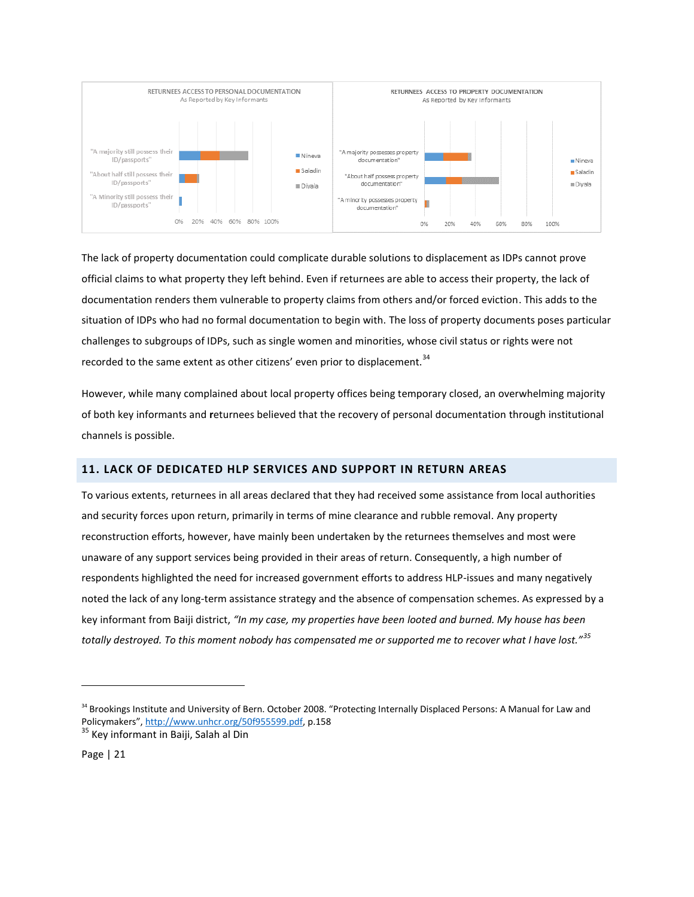

The lack of property documentation could complicate durable solutions to displacement as IDPs cannot prove official claims to what property they left behind. Even if returnees are able to access their property, the lack of documentation renders them vulnerable to property claims from others and/or forced eviction. This adds to the situation of IDPs who had no formal documentation to begin with. The loss of property documents poses particular challenges to subgroups of IDPs, such as single women and minorities, whose civil status or rights were not recorded to the same extent as other citizens' even prior to displacement.<sup>34</sup>

However, while many complained about local property offices being temporary closed, an overwhelming majority of both key informants and **r**eturnees believed that the recovery of personal documentation through institutional channels is possible.

# <span id="page-21-0"></span>**11. LACK OF DEDICATED HLP SERVICES AND SUPPORT IN RETURN AREAS**

To various extents, returnees in all areas declared that they had received some assistance from local authorities and security forces upon return, primarily in terms of mine clearance and rubble removal. Any property reconstruction efforts, however, have mainly been undertaken by the returnees themselves and most were unaware of any support services being provided in their areas of return. Consequently, a high number of respondents highlighted the need for increased government efforts to address HLP-issues and many negatively noted the lack of any long-term assistance strategy and the absence of compensation schemes. As expressed by a key informant from Baiji district, *"In my case, my properties have been looted and burned. My house has been totally destroyed. To this moment nobody has compensated me or supported me to recover what I have lost."<sup>35</sup>*

<sup>&</sup>lt;sup>34</sup> Brookings Institute and University of Bern. October 2008. "Protecting Internally Displaced Persons: A Manual for Law and Policymakers", [http://www.unhcr.org/50f955599.pdf,](http://www.unhcr.org/50f955599.pdf) p.158

<sup>&</sup>lt;sup>35</sup> Key informant in Baiji, Salah al Din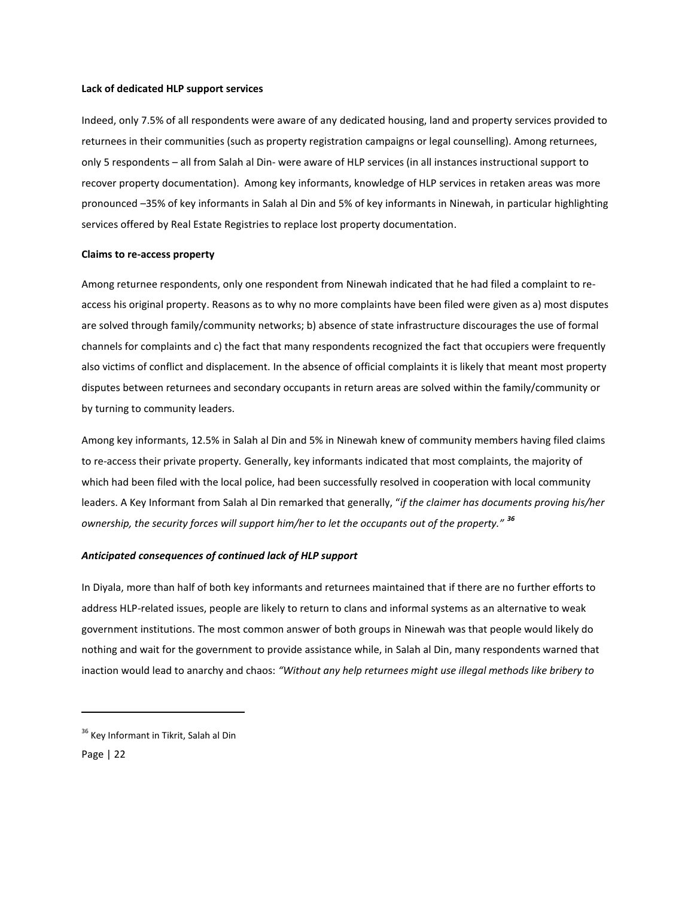#### **Lack of dedicated HLP support services**

Indeed, only 7.5% of all respondents were aware of any dedicated housing, land and property services provided to returnees in their communities (such as property registration campaigns or legal counselling). Among returnees, only 5 respondents – all from Salah al Din- were aware of HLP services (in all instances instructional support to recover property documentation). Among key informants, knowledge of HLP services in retaken areas was more pronounced –35% of key informants in Salah al Din and 5% of key informants in Ninewah, in particular highlighting services offered by Real Estate Registries to replace lost property documentation.

#### **Claims to re-access property**

Among returnee respondents, only one respondent from Ninewah indicated that he had filed a complaint to reaccess his original property. Reasons as to why no more complaints have been filed were given as a) most disputes are solved through family/community networks; b) absence of state infrastructure discourages the use of formal channels for complaints and c) the fact that many respondents recognized the fact that occupiers were frequently also victims of conflict and displacement. In the absence of official complaints it is likely that meant most property disputes between returnees and secondary occupants in return areas are solved within the family/community or by turning to community leaders.

Among key informants, 12.5% in Salah al Din and 5% in Ninewah knew of community members having filed claims to re-access their private property*.* Generally, key informants indicated that most complaints, the majority of which had been filed with the local police, had been successfully resolved in cooperation with local community leaders. A Key Informant from Salah al Din remarked that generally, "*if the claimer has documents proving his/her ownership, the security forces will support him/her to let the occupants out of the property." <sup>36</sup>*

#### *Anticipated consequences of continued lack of HLP support*

In Diyala, more than half of both key informants and returnees maintained that if there are no further efforts to address HLP-related issues, people are likely to return to clans and informal systems as an alternative to weak government institutions. The most common answer of both groups in Ninewah was that people would likely do nothing and wait for the government to provide assistance while, in Salah al Din, many respondents warned that inaction would lead to anarchy and chaos: *"Without any help returnees might use illegal methods like bribery to* 

<sup>&</sup>lt;sup>36</sup> Key Informant in Tikrit, Salah al Din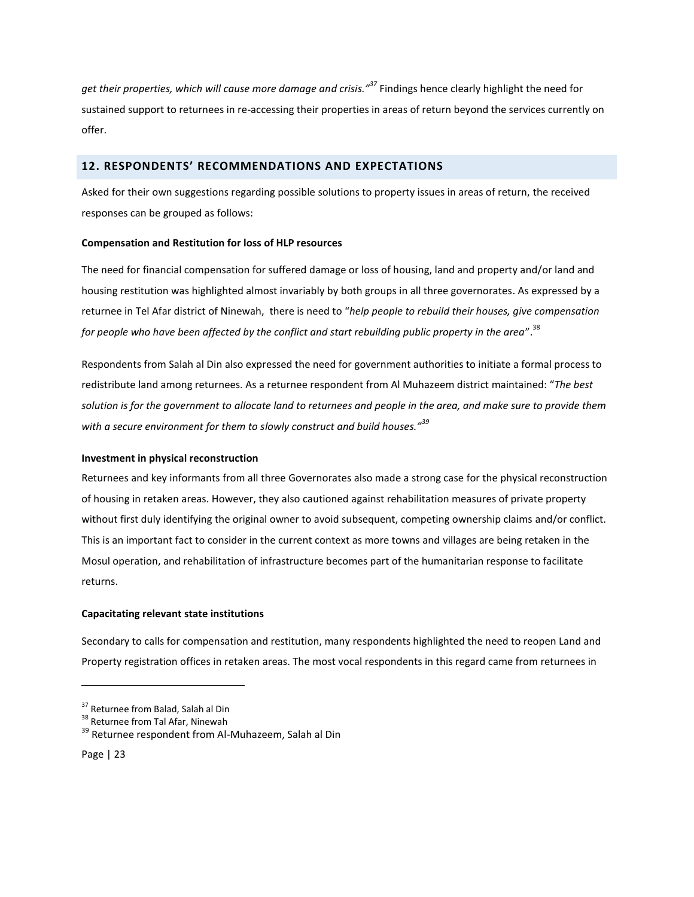*get their properties, which will cause more damage and crisis." <sup>37</sup>* Findings hence clearly highlight the need for sustained support to returnees in re-accessing their properties in areas of return beyond the services currently on offer.

# <span id="page-23-0"></span>**12. RESPONDENTS' RECOMMENDATIONS AND EXPECTATIONS**

Asked for their own suggestions regarding possible solutions to property issues in areas of return, the received responses can be grouped as follows:

# **Compensation and Restitution for loss of HLP resources**

The need for financial compensation for suffered damage or loss of housing, land and property and/or land and housing restitution was highlighted almost invariably by both groups in all three governorates. As expressed by a returnee in Tel Afar district of Ninewah, there is need to "*help people to rebuild their houses, give compensation for people who have been affected by the conflict and start rebuilding public property in the area*". 38

Respondents from Salah al Din also expressed the need for government authorities to initiate a formal process to redistribute land among returnees. As a returnee respondent from Al Muhazeem district maintained: "*The best solution is for the government to allocate land to returnees and people in the area, and make sure to provide them with a secure environment for them to slowly construct and build houses."<sup>39</sup>*

#### **Investment in physical reconstruction**

Returnees and key informants from all three Governorates also made a strong case for the physical reconstruction of housing in retaken areas. However, they also cautioned against rehabilitation measures of private property without first duly identifying the original owner to avoid subsequent, competing ownership claims and/or conflict. This is an important fact to consider in the current context as more towns and villages are being retaken in the Mosul operation, and rehabilitation of infrastructure becomes part of the humanitarian response to facilitate returns.

## **Capacitating relevant state institutions**

Secondary to calls for compensation and restitution, many respondents highlighted the need to reopen Land and Property registration offices in retaken areas. The most vocal respondents in this regard came from returnees in

<sup>&</sup>lt;sup>37</sup> Returnee from Balad, Salah al Din

<sup>&</sup>lt;sup>38</sup> Returnee from Tal Afar, Ninewah

<sup>&</sup>lt;sup>39</sup> Returnee respondent from Al-Muhazeem, Salah al Din

Page | 23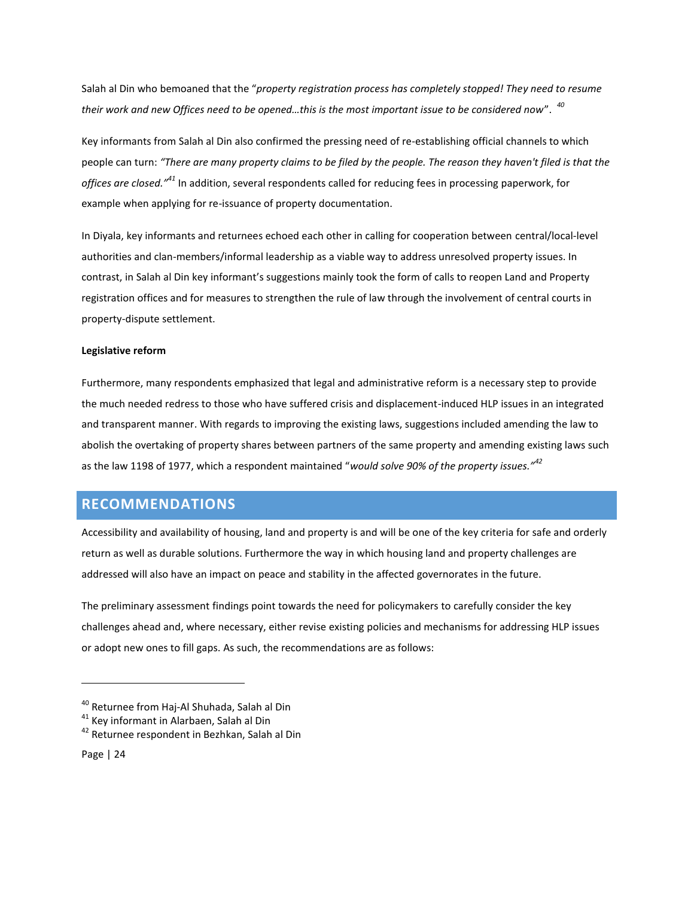Salah al Din who bemoaned that the "*property registration process has completely stopped! They need to resume their work and new Offices need to be opened…this is the most important issue to be considered now*". *<sup>40</sup>*

Key informants from Salah al Din also confirmed the pressing need of re-establishing official channels to which people can turn: *"There are many property claims to be filed by the people. The reason they haven't filed is that the offices are closed."<sup>41</sup>* In addition, several respondents called for reducing fees in processing paperwork, for example when applying for re-issuance of property documentation.

In Diyala, key informants and returnees echoed each other in calling for cooperation between central/local-level authorities and clan-members/informal leadership as a viable way to address unresolved property issues. In contrast, in Salah al Din key informant's suggestions mainly took the form of calls to reopen Land and Property registration offices and for measures to strengthen the rule of law through the involvement of central courts in property-dispute settlement.

#### **Legislative reform**

Furthermore, many respondents emphasized that legal and administrative reform is a necessary step to provide the much needed redress to those who have suffered crisis and displacement-induced HLP issues in an integrated and transparent manner. With regards to improving the existing laws, suggestions included amending the law to abolish the overtaking of property shares between partners of the same property and amending existing laws such as the law 1198 of 1977, which a respondent maintained "*would solve 90% of the property issues."<sup>42</sup>*

# <span id="page-24-0"></span>**RECOMMENDATIONS**

Accessibility and availability of housing, land and property is and will be one of the key criteria for safe and orderly return as well as durable solutions. Furthermore the way in which housing land and property challenges are addressed will also have an impact on peace and stability in the affected governorates in the future.

The preliminary assessment findings point towards the need for policymakers to carefully consider the key challenges ahead and, where necessary, either revise existing policies and mechanisms for addressing HLP issues or adopt new ones to fill gaps. As such, the recommendations are as follows:

<sup>40</sup> Returnee from Haj-Al Shuhada, Salah al Din

<sup>41</sup> Key informant in Alarbaen, Salah al Din

<sup>&</sup>lt;sup>42</sup> Returnee respondent in Bezhkan, Salah al Din

Page | 24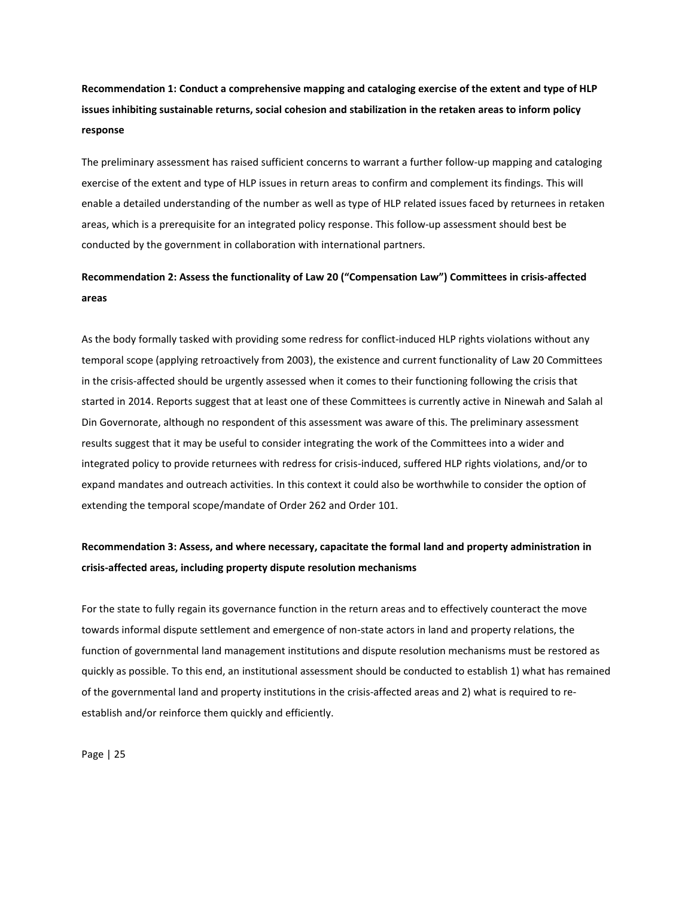**Recommendation 1: Conduct a comprehensive mapping and cataloging exercise of the extent and type of HLP issues inhibiting sustainable returns, social cohesion and stabilization in the retaken areas to inform policy response**

The preliminary assessment has raised sufficient concerns to warrant a further follow-up mapping and cataloging exercise of the extent and type of HLP issues in return areas to confirm and complement its findings. This will enable a detailed understanding of the number as well as type of HLP related issues faced by returnees in retaken areas, which is a prerequisite for an integrated policy response. This follow-up assessment should best be conducted by the government in collaboration with international partners.

# **Recommendation 2: Assess the functionality of Law 20 ("Compensation Law") Committees in crisis-affected areas**

As the body formally tasked with providing some redress for conflict-induced HLP rights violations without any temporal scope (applying retroactively from 2003), the existence and current functionality of Law 20 Committees in the crisis-affected should be urgently assessed when it comes to their functioning following the crisis that started in 2014. Reports suggest that at least one of these Committees is currently active in Ninewah and Salah al Din Governorate, although no respondent of this assessment was aware of this. The preliminary assessment results suggest that it may be useful to consider integrating the work of the Committees into a wider and integrated policy to provide returnees with redress for crisis-induced, suffered HLP rights violations, and/or to expand mandates and outreach activities. In this context it could also be worthwhile to consider the option of extending the temporal scope/mandate of Order 262 and Order 101.

# **Recommendation 3: Assess, and where necessary, capacitate the formal land and property administration in crisis-affected areas, including property dispute resolution mechanisms**

For the state to fully regain its governance function in the return areas and to effectively counteract the move towards informal dispute settlement and emergence of non-state actors in land and property relations, the function of governmental land management institutions and dispute resolution mechanisms must be restored as quickly as possible. To this end, an institutional assessment should be conducted to establish 1) what has remained of the governmental land and property institutions in the crisis-affected areas and 2) what is required to reestablish and/or reinforce them quickly and efficiently.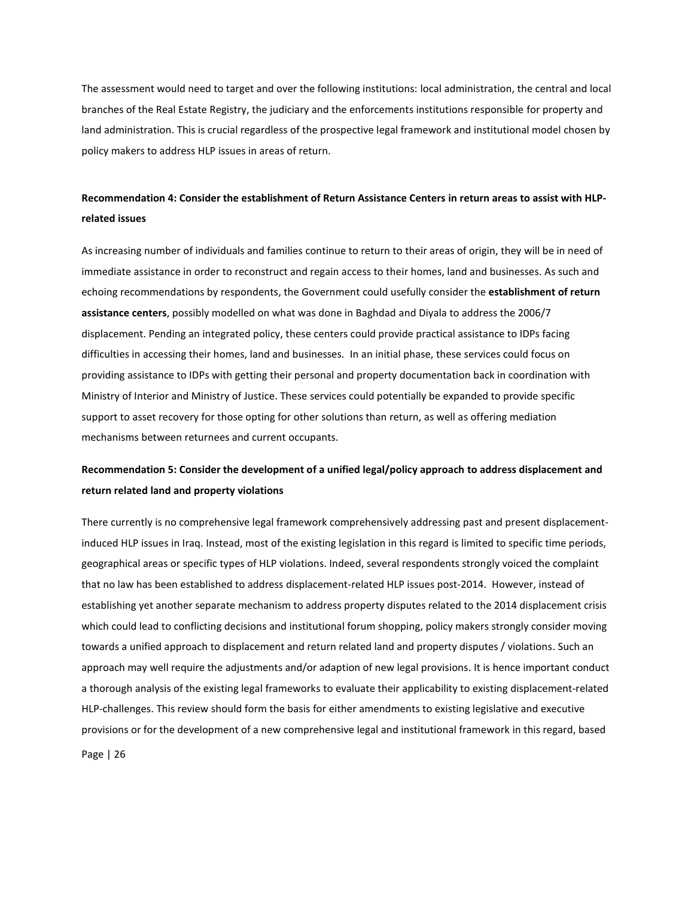The assessment would need to target and over the following institutions: local administration, the central and local branches of the Real Estate Registry, the judiciary and the enforcements institutions responsible for property and land administration. This is crucial regardless of the prospective legal framework and institutional model chosen by policy makers to address HLP issues in areas of return.

# **Recommendation 4: Consider the establishment of Return Assistance Centers in return areas to assist with HLPrelated issues**

As increasing number of individuals and families continue to return to their areas of origin, they will be in need of immediate assistance in order to reconstruct and regain access to their homes, land and businesses. As such and echoing recommendations by respondents, the Government could usefully consider the **establishment of return assistance centers**, possibly modelled on what was done in Baghdad and Diyala to address the 2006/7 displacement. Pending an integrated policy, these centers could provide practical assistance to IDPs facing difficulties in accessing their homes, land and businesses. In an initial phase, these services could focus on providing assistance to IDPs with getting their personal and property documentation back in coordination with Ministry of Interior and Ministry of Justice. These services could potentially be expanded to provide specific support to asset recovery for those opting for other solutions than return, as well as offering mediation mechanisms between returnees and current occupants.

# **Recommendation 5: Consider the development of a unified legal/policy approach to address displacement and return related land and property violations**

There currently is no comprehensive legal framework comprehensively addressing past and present displacementinduced HLP issues in Iraq. Instead, most of the existing legislation in this regard is limited to specific time periods, geographical areas or specific types of HLP violations. Indeed, several respondents strongly voiced the complaint that no law has been established to address displacement-related HLP issues post-2014. However, instead of establishing yet another separate mechanism to address property disputes related to the 2014 displacement crisis which could lead to conflicting decisions and institutional forum shopping, policy makers strongly consider moving towards a unified approach to displacement and return related land and property disputes / violations. Such an approach may well require the adjustments and/or adaption of new legal provisions. It is hence important conduct a thorough analysis of the existing legal frameworks to evaluate their applicability to existing displacement-related HLP-challenges. This review should form the basis for either amendments to existing legislative and executive provisions or for the development of a new comprehensive legal and institutional framework in this regard, based